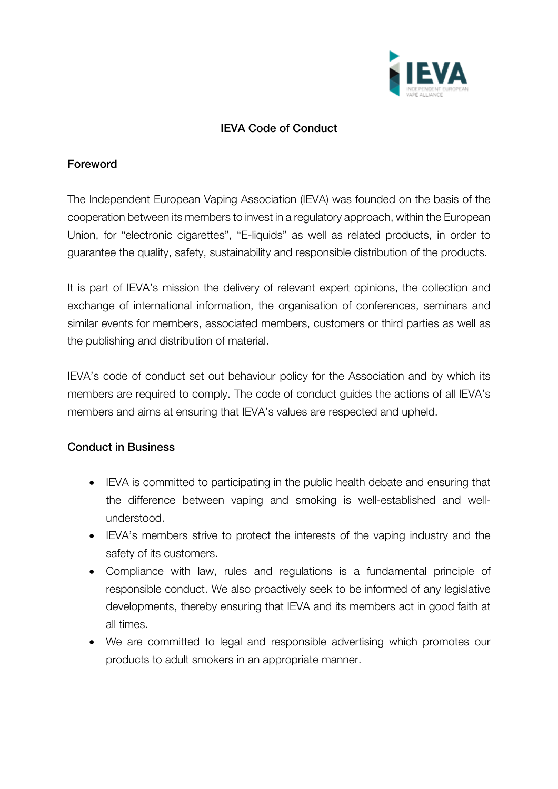

## IEVA Code of Conduct

## Foreword

The Independent European Vaping Association (IEVA) was founded on the basis of the cooperation between its members to invest in a regulatory approach, within the European Union, for "electronic cigarettes", "E-liquids" as well as related products, in order to guarantee the quality, safety, sustainability and responsible distribution of the products.

It is part of IEVA's mission the delivery of relevant expert opinions, the collection and exchange of international information, the organisation of conferences, seminars and similar events for members, associated members, customers or third parties as well as the publishing and distribution of material.

IEVA's code of conduct set out behaviour policy for the Association and by which its members are required to comply. The code of conduct guides the actions of all IEVA's members and aims at ensuring that IEVA's values are respected and upheld.

## Conduct in Business

- IEVA is committed to participating in the public health debate and ensuring that the difference between vaping and smoking is well-established and wellunderstood.
- IEVA's members strive to protect the interests of the vaping industry and the safety of its customers.
- Compliance with law, rules and regulations is a fundamental principle of responsible conduct. We also proactively seek to be informed of any legislative developments, thereby ensuring that IEVA and its members act in good faith at all times.
- We are committed to legal and responsible advertising which promotes our products to adult smokers in an appropriate manner.